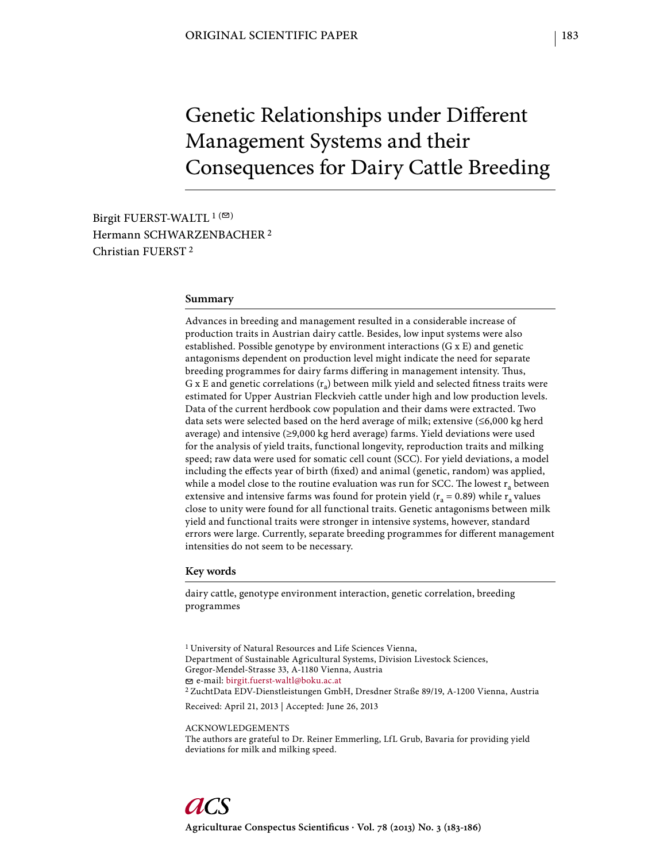# Genetic Relationships under Different Management Systems and their Consequences for Dairy Cattle Breeding

Birgit FUERST-WALTL<sup>1( $\textdegree$ )</sup> Hermann SCHWARZENBACHER 2 Christian FUERST 2

#### **Summary**

Advances in breeding and management resulted in a considerable increase of production traits in Austrian dairy cattle. Besides, low input systems were also established. Possible genotype by environment interactions (G x E) and genetic antagonisms dependent on production level might indicate the need for separate breeding programmes for dairy farms differing in management intensity. Thus, G x E and genetic correlations  $(r_a)$  between milk yield and selected fitness traits were estimated for Upper Austrian Fleckvieh cattle under high and low production levels. Data of the current herdbook cow population and their dams were extracted. Two data sets were selected based on the herd average of milk; extensive (≤6,000 kg herd average) and intensive (≥9,000 kg herd average) farms. Yield deviations were used for the analysis of yield traits, functional longevity, reproduction traits and milking speed; raw data were used for somatic cell count (SCC). For yield deviations, a model including the effects year of birth (fixed) and animal (genetic, random) was applied, while a model close to the routine evaluation was run for SCC. The lowest  $r_a$  between extensive and intensive farms was found for protein yield  $(r_a = 0.89)$  while  $r_a$  values close to unity were found for all functional traits. Genetic antagonisms between milk yield and functional traits were stronger in intensive systems, however, standard errors were large. Currently, separate breeding programmes for different management intensities do not seem to be necessary.

#### **Key words**

dairy cattle, genotype environment interaction, genetic correlation, breeding programmes

1 University of Natural Resources and Life Sciences Vienna, Department of Sustainable Agricultural Systems, Division Livestock Sciences, Gregor-Mendel-Strasse 33, A-1180 Vienna, Austria e-mail: birgit.fuerst-waltl@boku.ac.at 2 ZuchtData EDV-Dienstleistungen GmbH, Dresdner Straße 89/19, A-1200 Vienna, Austria Received: April 21, 2013 | Accepted: June 26, 2013

ACKNOWLEDGEMENTS The authors are grateful to Dr. Reiner Emmerling, LfL Grub, Bavaria for providing yield deviations for milk and milking speed.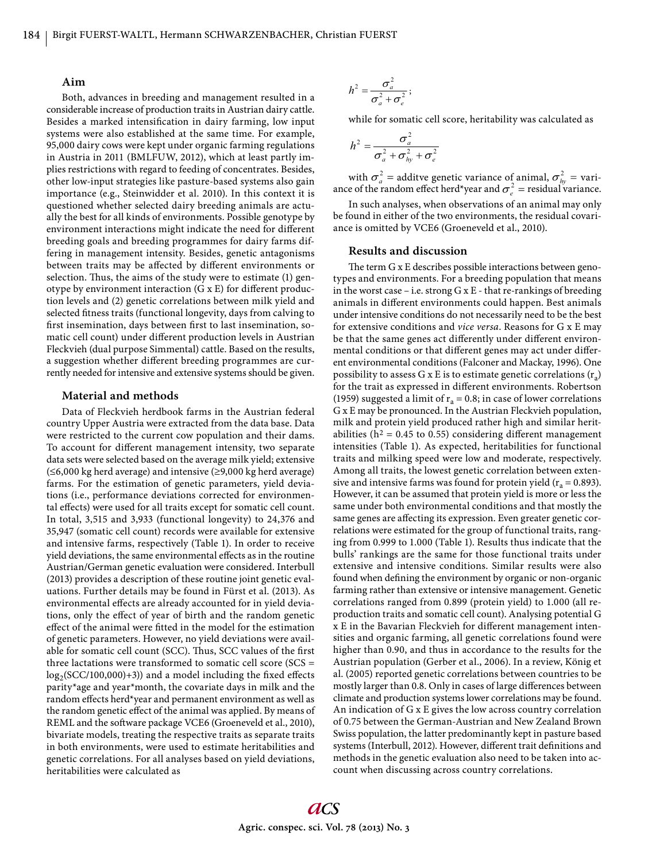### **Aim**

Both, advances in breeding and management resulted in a considerable increase of production traits in Austrian dairy cattle. Besides a marked intensification in dairy farming, low input systems were also established at the same time. For example, 95,000 dairy cows were kept under organic farming regulations in Austria in 2011 (BMLFUW, 2012), which at least partly implies restrictions with regard to feeding of concentrates. Besides, other low-input strategies like pasture-based systems also gain importance (e.g., Steinwidder et al. 2010). In this context it is questioned whether selected dairy breeding animals are actually the best for all kinds of environments. Possible genotype by environment interactions might indicate the need for different breeding goals and breeding programmes for dairy farms differing in management intensity. Besides, genetic antagonisms between traits may be affected by different environments or selection. Thus, the aims of the study were to estimate (1) genotype by environment interaction  $(G \times E)$  for different production levels and (2) genetic correlations between milk yield and selected fitness traits (functional longevity, days from calving to first insemination, days between first to last insemination, somatic cell count) under different production levels in Austrian Fleckvieh (dual purpose Simmental) cattle. Based on the results, a suggestion whether different breeding programmes are currently needed for intensive and extensive systems should be given.

### **Material and methods**

Data of Fleckvieh herdbook farms in the Austrian federal country Upper Austria were extracted from the data base. Data were restricted to the current cow population and their dams. To account for different management intensity, two separate data sets were selected based on the average milk yield; extensive (≤6,000 kg herd average) and intensive (≥9,000 kg herd average) farms. For the estimation of genetic parameters, yield deviations (i.e., performance deviations corrected for environmental effects) were used for all traits except for somatic cell count. In total, 3,515 and 3,933 (functional longevity) to 24,376 and 35,947 (somatic cell count) records were available for extensive and intensive farms, respectively (Table 1). In order to receive yield deviations, the same environmental effects as in the routine Austrian/German genetic evaluation were considered. Interbull (2013) provides a description of these routine joint genetic evaluations. Further details may be found in Fürst et al. (2013). As environmental effects are already accounted for in yield deviations, only the effect of year of birth and the random genetic effect of the animal were fitted in the model for the estimation of genetic parameters. However, no yield deviations were available for somatic cell count (SCC). Thus, SCC values of the first three lactations were transformed to somatic cell score (SCS =  $log_2(SCC/100,000)+3)$  and a model including the fixed effects parity\*age and year\*month, the covariate days in milk and the random effects herd\*year and permanent environment as well as the random genetic effect of the animal was applied. By means of REML and the software package VCE6 (Groeneveld et al., 2010), bivariate models, treating the respective traits as separate traits in both environments, were used to estimate heritabilities and genetic correlations. For all analyses based on yield deviations, heritabilities were calculated as

$$
h^2 = \frac{\sigma_a^2}{\sigma_a^2 + \sigma_e^2};
$$

while for somatic cell score, heritability was calculated as

$$
h^2 = \frac{\sigma_a^2}{\sigma_a^2 + \sigma_{hy}^2 + \sigma_e^2}
$$

with  $\sigma_a^2$  = additve genetic variance of animal,  $\sigma_{hy}^2$  = variwith  $\sigma_a^2$  = additve genetic variance of animal,  $\sigma_{by}^2$  = variance of the random effect herd\*year and  $\sigma_e^2$  = residual variance.

In such analyses, when observations of an animal may only be found in either of the two environments, the residual covariance is omitted by VCE6 (Groeneveld et al., 2010).

## **Results and discussion**

The term  $G$  x  $E$  describes possible interactions between genotypes and environments. For a breeding population that means in the worst case – i.e. strong G x E - that re-rankings of breeding animals in different environments could happen. Best animals under intensive conditions do not necessarily need to be the best for extensive conditions and *vice versa*. Reasons for G x E may be that the same genes act differently under different environmental conditions or that different genes may act under different environmental conditions (Falconer and Mackay, 1996). One possibility to assess G x E is to estimate genetic correlations  $(r_a)$ for the trait as expressed in different environments. Robertson (1959) suggested a limit of  $r_a = 0.8$ ; in case of lower correlations G x E may be pronounced. In the Austrian Fleckvieh population, milk and protein yield produced rather high and similar heritabilities ( $h^2$  = 0.45 to 0.55) considering different management intensities (Table 1). As expected, heritabilities for functional traits and milking speed were low and moderate, respectively. Among all traits, the lowest genetic correlation between extensive and intensive farms was found for protein yield ( $r_a = 0.893$ ). However, it can be assumed that protein yield is more or less the same under both environmental conditions and that mostly the same genes are affecting its expression. Even greater genetic correlations were estimated for the group of functional traits, ranging from 0.999 to 1.000 (Table 1). Results thus indicate that the bulls' rankings are the same for those functional traits under extensive and intensive conditions. Similar results were also found when defining the environment by organic or non-organic farming rather than extensive or intensive management. Genetic correlations ranged from 0.899 (protein yield) to 1.000 (all reproduction traits and somatic cell count). Analysing potential G x E in the Bavarian Fleckvieh for different management intensities and organic farming, all genetic correlations found were higher than 0.90, and thus in accordance to the results for the Austrian population (Gerber et al., 2006). In a review, König et al. (2005) reported genetic correlations between countries to be mostly larger than 0.8. Only in cases of large differences between climate and production systems lower correlations may be found. An indication of G x E gives the low across country correlation of 0.75 between the German-Austrian and New Zealand Brown Swiss population, the latter predominantly kept in pasture based systems (Interbull, 2012). However, different trait definitions and methods in the genetic evaluation also need to be taken into account when discussing across country correlations.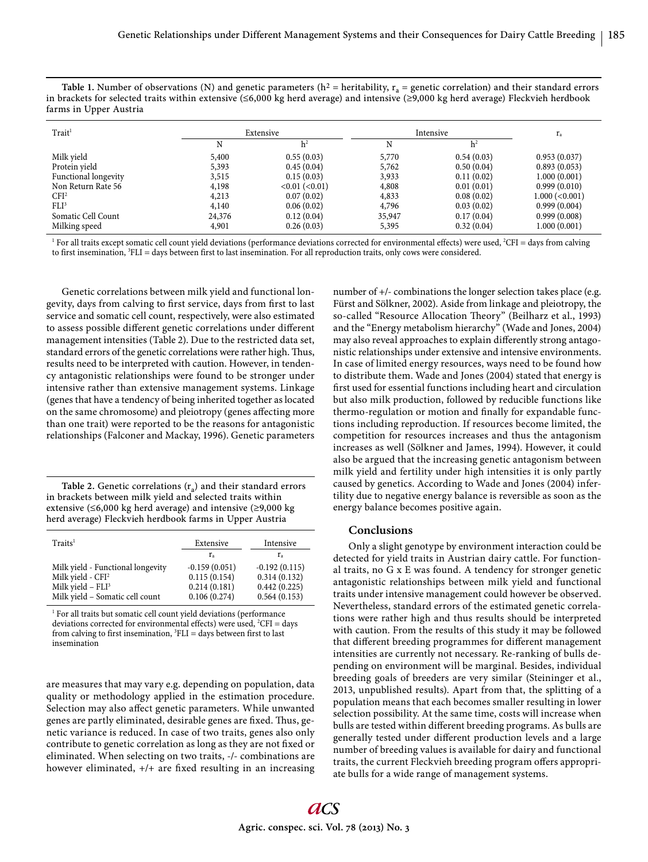| Table 1. Number of observations (N) and genetic parameters ( $h^2$ = heritability, $r_a$ = genetic correlation) and their standard errors         |
|---------------------------------------------------------------------------------------------------------------------------------------------------|
| in brackets for selected traits within extensive ( $\leq 6,000$ kg herd average) and intensive ( $\geq 9,000$ kg herd average) Fleckvieh herdbook |
| farms in Upper Austria                                                                                                                            |

| Trait <sup>1</sup>   | Extensive |                  | Intensive |            | $r_{\rm a}$          |
|----------------------|-----------|------------------|-----------|------------|----------------------|
|                      |           |                  |           |            |                      |
| Milk yield           | 5,400     | 0.55(0.03)       | 5,770     | 0.54(0.03) | 0.953(0.037)         |
| Protein yield        | 5,393     | 0.45(0.04)       | 5,762     | 0.50(0.04) | 0.893(0.053)         |
| Functional longevity | 3,515     | 0.15(0.03)       | 3,933     | 0.11(0.02) | 1.000(0.001)         |
| Non Return Rate 56   | 4,198     | $< 0.01 (-0.01)$ | 4,808     | 0.01(0.01) | 0.999(0.010)         |
| CFI <sup>2</sup>     | 4,213     | 0.07(0.02)       | 4,833     | 0.08(0.02) | $1.000 \; (< 0.001)$ |
| FLI <sup>3</sup>     | 4,140     | 0.06(0.02)       | 4,796     | 0.03(0.02) | 0.999(0.004)         |
| Somatic Cell Count   | 24,376    | 0.12(0.04)       | 35,947    | 0.17(0.04) | 0.999(0.008)         |
| Milking speed        | 4,901     | 0.26(0.03)       | 5,395     | 0.32(0.04) | 1.000(0.001)         |

<sup>1</sup> For all traits except somatic cell count yield deviations (performance deviations corrected for environmental effects) were used, <sup>2</sup>CFI = days from calving to first insemination, <sup>3</sup>FLI = days between first to last insemination. For all reproduction traits, only cows were considered.

Genetic correlations between milk yield and functional longevity, days from calving to first service, days from first to last service and somatic cell count, respectively, were also estimated to assess possible different genetic correlations under different management intensities (Table 2). Due to the restricted data set, standard errors of the genetic correlations were rather high. Thus, results need to be interpreted with caution. However, in tendency antagonistic relationships were found to be stronger under intensive rather than extensive management systems. Linkage (genes that have a tendency of being inherited together as located on the same chromosome) and pleiotropy (genes affecting more than one trait) were reported to be the reasons for antagonistic relationships (Falconer and Mackay, 1996). Genetic parameters

Table 2. Genetic correlations  $(r_a)$  and their standard errors in brackets between milk yield and selected traits within extensive (≤6,000 kg herd average) and intensive (≥9,000 kg herd average) Fleckvieh herdbook farms in Upper Austria

| $T$ raits <sup>1</sup>                                                                                                                   | Extensive                                                       | Intensive                                                       |
|------------------------------------------------------------------------------------------------------------------------------------------|-----------------------------------------------------------------|-----------------------------------------------------------------|
|                                                                                                                                          | rа                                                              | rа                                                              |
| Milk yield - Functional longevity<br>Milk yield - CFI <sup>2</sup><br>Milk yield $-$ FLI <sup>3</sup><br>Milk yield - Somatic cell count | $-0.159(0.051)$<br>0.115(0.154)<br>0.214(0.181)<br>0.106(0.274) | $-0.192(0.115)$<br>0.314(0.132)<br>0.442(0.225)<br>0.564(0.153) |

<sup>1</sup> For all traits but somatic cell count yield deviations (performance deviations corrected for environmental effects) were used,  ${}^{2}$ CFI = days from calving to first insemination,  ${}^{3}$ ELI = days between first to last insemination

are measures that may vary e.g. depending on population, data quality or methodology applied in the estimation procedure. Selection may also affect genetic parameters. While unwanted genes are partly eliminated, desirable genes are fixed. Thus, genetic variance is reduced. In case of two traits, genes also only contribute to genetic correlation as long as they are not fixed or eliminated. When selecting on two traits, -/- combinations are however eliminated,  $+/+$  are fixed resulting in an increasing

number of +/- combinations the longer selection takes place (e.g. Fürst and Sölkner, 2002). Aside from linkage and pleiotropy, the so-called "Resource Allocation Theory" (Beilharz et al., 1993) and the "Energy metabolism hierarchy" (Wade and Jones, 2004) may also reveal approaches to explain differently strong antagonistic relationships under extensive and intensive environments. In case of limited energy resources, ways need to be found how to distribute them. Wade and Jones (2004) stated that energy is first used for essential functions including heart and circulation but also milk production, followed by reducible functions like thermo-regulation or motion and finally for expandable functions including reproduction. If resources become limited, the competition for resources increases and thus the antagonism increases as well (Sölkner and James, 1994). However, it could also be argued that the increasing genetic antagonism between milk yield and fertility under high intensities it is only partly caused by genetics. According to Wade and Jones (2004) infertility due to negative energy balance is reversible as soon as the energy balance becomes positive again.

### **Conclusions**

Only a slight genotype by environment interaction could be detected for yield traits in Austrian dairy cattle. For functional traits, no G x E was found. A tendency for stronger genetic antagonistic relationships between milk yield and functional traits under intensive management could however be observed. Nevertheless, standard errors of the estimated genetic correlations were rather high and thus results should be interpreted with caution. From the results of this study it may be followed that different breeding programmes for different management intensities are currently not necessary. Re-ranking of bulls depending on environment will be marginal. Besides, individual breeding goals of breeders are very similar (Steininger et al., 2013, unpublished results). Apart from that, the splitting of a population means that each becomes smaller resulting in lower selection possibility. At the same time, costs will increase when bulls are tested within different breeding programs. As bulls are generally tested under different production levels and a large number of breeding values is available for dairy and functional traits, the current Fleckvieh breeding program offers appropriate bulls for a wide range of management systems.